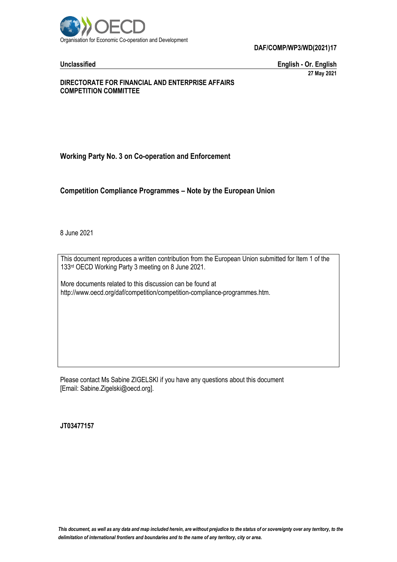

**DAF/COMP/WP3/WD(2021)17**

**Unclassified English - Or. English 27 May 2021**

#### **DIRECTORATE FOR FINANCIAL AND ENTERPRISE AFFAIRS COMPETITION COMMITTEE**

# **Working Party No. 3 on Co-operation and Enforcement**

**Competition Compliance Programmes – Note by the European Union**

8 June 2021

This document reproduces a written contribution from the European Union submitted for Item 1 of the 133rd OECD Working Party 3 meeting on 8 June 2021.

More documents related to this discussion can be found at http://www.oecd.org/daf/competition/competition-compliance-programmes.htm.

Please contact Ms Sabine ZIGELSKI if you have any questions about this document [Email: Sabine.Zigelski@oecd.org].

**JT03477157**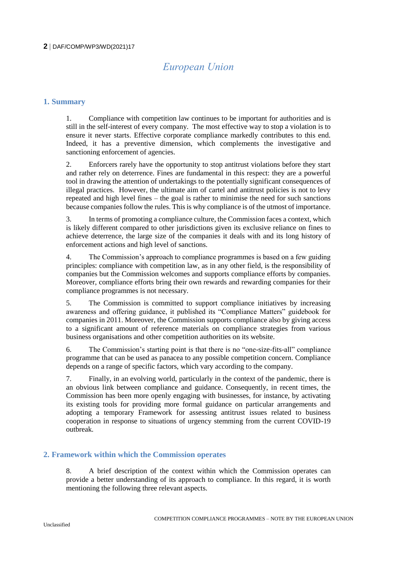# *European Union*

# **1. Summary**

1. Compliance with competition law continues to be important for authorities and is still in the self-interest of every company. The most effective way to stop a violation is to ensure it never starts. Effective corporate compliance markedly contributes to this end. Indeed, it has a preventive dimension, which complements the investigative and sanctioning enforcement of agencies.

2. Enforcers rarely have the opportunity to stop antitrust violations before they start and rather rely on deterrence. Fines are fundamental in this respect: they are a powerful tool in drawing the attention of undertakings to the potentially significant consequences of illegal practices. However, the ultimate aim of cartel and antitrust policies is not to levy repeated and high level fines – the goal is rather to minimise the need for such sanctions because companies follow the rules. This is why compliance is of the utmost of importance.

3. In terms of promoting a compliance culture, the Commission faces a context, which is likely different compared to other jurisdictions given its exclusive reliance on fines to achieve deterrence, the large size of the companies it deals with and its long history of enforcement actions and high level of sanctions.

4. The Commission's approach to compliance programmes is based on a few guiding principles: compliance with competition law, as in any other field, is the responsibility of companies but the Commission welcomes and supports compliance efforts by companies. Moreover, compliance efforts bring their own rewards and rewarding companies for their compliance programmes is not necessary.

5. The Commission is committed to support compliance initiatives by increasing awareness and offering guidance, it published its "Compliance Matters" guidebook for companies in 2011. Moreover, the Commission supports compliance also by giving access to a significant amount of reference materials on compliance strategies from various business organisations and other competition authorities on its website.

6. The Commission's starting point is that there is no "one-size-fits-all" compliance programme that can be used as panacea to any possible competition concern. Compliance depends on a range of specific factors, which vary according to the company.

7. Finally, in an evolving world, particularly in the context of the pandemic, there is an obvious link between compliance and guidance. Consequently, in recent times, the Commission has been more openly engaging with businesses, for instance, by activating its existing tools for providing more formal guidance on particular arrangements and adopting a temporary Framework for assessing antitrust issues related to business cooperation in response to situations of urgency stemming from the current COVID-19 outbreak.

# **2. Framework within which the Commission operates**

8. A brief description of the context within which the Commission operates can provide a better understanding of its approach to compliance. In this regard, it is worth mentioning the following three relevant aspects.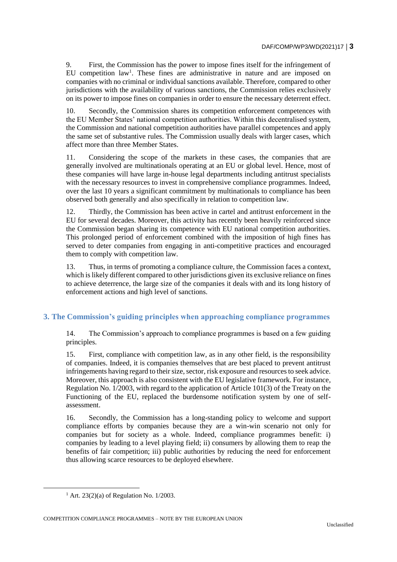9. First, the Commission has the power to impose fines itself for the infringement of EU competition law<sup>1</sup>. These fines are administrative in nature and are imposed on companies with no criminal or individual sanctions available. Therefore, compared to other jurisdictions with the availability of various sanctions, the Commission relies exclusively on its power to impose fines on companies in order to ensure the necessary deterrent effect.

10. Secondly, the Commission shares its competition enforcement competences with the EU Member States' national competition authorities. Within this decentralised system, the Commission and national competition authorities have parallel competences and apply the same set of substantive rules. The Commission usually deals with larger cases, which affect more than three Member States.

11. Considering the scope of the markets in these cases, the companies that are generally involved are multinationals operating at an EU or global level. Hence, most of these companies will have large in-house legal departments including antitrust specialists with the necessary resources to invest in comprehensive compliance programmes. Indeed, over the last 10 years a significant commitment by multinationals to compliance has been observed both generally and also specifically in relation to competition law.

12. Thirdly, the Commission has been active in cartel and antitrust enforcement in the EU for several decades. Moreover, this activity has recently been heavily reinforced since the Commission began sharing its competence with EU national competition authorities. This prolonged period of enforcement combined with the imposition of high fines has served to deter companies from engaging in anti-competitive practices and encouraged them to comply with competition law.

13. Thus, in terms of promoting a compliance culture, the Commission faces a context, which is likely different compared to other jurisdictions given its exclusive reliance on fines to achieve deterrence, the large size of the companies it deals with and its long history of enforcement actions and high level of sanctions.

# **3. The Commission's guiding principles when approaching compliance programmes**

14. The Commission's approach to compliance programmes is based on a few guiding principles.

15. First, compliance with competition law, as in any other field, is the responsibility of companies. Indeed, it is companies themselves that are best placed to prevent antitrust infringements having regard to their size, sector, risk exposure and resources to seek advice. Moreover, this approach is also consistent with the EU legislative framework. For instance, Regulation No. 1/2003, with regard to the application of Article 101(3) of the Treaty on the Functioning of the EU, replaced the burdensome notification system by one of selfassessment.

16. Secondly, the Commission has a long-standing policy to welcome and support compliance efforts by companies because they are a win-win scenario not only for companies but for society as a whole. Indeed, compliance programmes benefit: i) companies by leading to a level playing field; ii) consumers by allowing them to reap the benefits of fair competition; iii) public authorities by reducing the need for enforcement thus allowing scarce resources to be deployed elsewhere.

 $1$  Art. 23(2)(a) of Regulation No. 1/2003.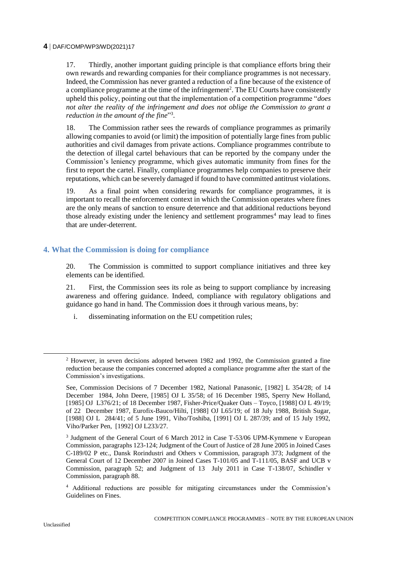17. Thirdly, another important guiding principle is that compliance efforts bring their own rewards and rewarding companies for their compliance programmes is not necessary. Indeed, the Commission has never granted a reduction of a fine because of the existence of a compliance programme at the time of the infringement<sup>2</sup>. The EU Courts have consistently upheld this policy, pointing out that the implementation of a competition programme "*does not alter the reality of the infringement and does not oblige the Commission to grant a reduction in the amount of the fine*" 3 .

18. The Commission rather sees the rewards of compliance programmes as primarily allowing companies to avoid (or limit) the imposition of potentially large fines from public authorities and civil damages from private actions. Compliance programmes contribute to the detection of illegal cartel behaviours that can be reported by the company under the Commission's leniency programme, which gives automatic immunity from fines for the first to report the cartel. Finally, compliance programmes help companies to preserve their reputations, which can be severely damaged if found to have committed antitrust violations.

19. As a final point when considering rewards for compliance programmes, it is important to recall the enforcement context in which the Commission operates where fines are the only means of sanction to ensure deterrence and that additional reductions beyond those already existing under the leniency and settlement programmes<sup>4</sup> may lead to fines that are under-deterrent.

#### **4. What the Commission is doing for compliance**

20. The Commission is committed to support compliance initiatives and three key elements can be identified.

21. First, the Commission sees its role as being to support compliance by increasing awareness and offering guidance. Indeed, compliance with regulatory obligations and guidance go hand in hand. The Commission does it through various means, by:

i. disseminating information on the EU competition rules;

<sup>2</sup> However, in seven decisions adopted between 1982 and 1992, the Commission granted a fine reduction because the companies concerned adopted a compliance programme after the start of the Commission's investigations.

See, Commission Decisions of 7 December 1982, National Panasonic, [1982] L 354/28; of 14 December 1984, John Deere, [1985] OJ L 35/58; of 16 December 1985, Sperry New Holland, [1985] OJ L376/21; of 18 December 1987, Fisher-Price/Quaker Oats – Toyco, [1988] OJ L 49/19; of 22 December 1987, Eurofix-Bauco/Hilti, [1988] OJ L65/19; of 18 July 1988, British Sugar, [1988] OJ L 284/41; of 5 June 1991, Viho/Toshiba, [1991] OJ L 287/39; and of 15 July 1992, Viho/Parker Pen, [1992] OJ L233/27.

<sup>3</sup> Judgment of the General Court of 6 March 2012 in Case T-53/06 UPM-Kymmene v European Commission, paragraphs 123-124; Judgment of the Court of Justice of 28 June 2005 in Joined Cases C-189/02 P etc., Dansk Rorindustri and Others v Commission, paragraph 373; Judgment of the General Court of 12 December 2007 in Joined Cases T-101/05 and T-111/05, BASF and UCB v Commission, paragraph 52; and Judgment of 13 July 2011 in Case T-138/07, Schindler v Commission, paragraph 88.

<sup>4</sup> Additional reductions are possible for mitigating circumstances under the Commission's Guidelines on Fines.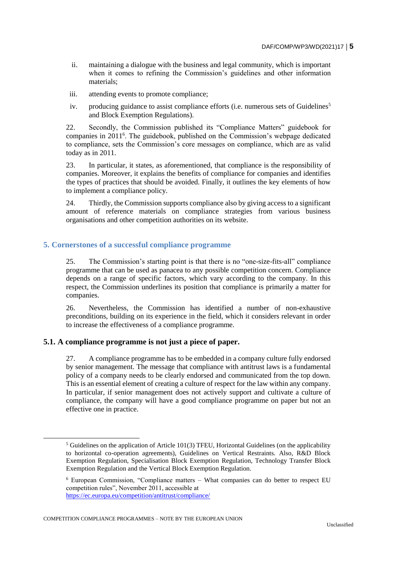- ii. maintaining a dialogue with the business and legal community, which is important when it comes to refining the Commission's guidelines and other information materials;
- iii. attending events to promote compliance;
- iv. producing guidance to assist compliance efforts (i.e. numerous sets of Guidelines<sup>5</sup> and Block Exemption Regulations).

22. Secondly, the Commission published its "Compliance Matters" guidebook for companies in 2011<sup>6</sup>. The guidebook, published on the Commission's webpage dedicated to compliance, sets the Commission's core messages on compliance, which are as valid today as in 2011.

23. In particular, it states, as aforementioned, that compliance is the responsibility of companies. Moreover, it explains the benefits of compliance for companies and identifies the types of practices that should be avoided. Finally, it outlines the key elements of how to implement a compliance policy.

24. Thirdly, the Commission supports compliance also by giving access to a significant amount of reference materials on compliance strategies from various business organisations and other competition authorities on its website.

#### **5. Cornerstones of a successful compliance programme**

25. The Commission's starting point is that there is no "one-size-fits-all" compliance programme that can be used as panacea to any possible competition concern. Compliance depends on a range of specific factors, which vary according to the company. In this respect, the Commission underlines its position that compliance is primarily a matter for companies.

26. Nevertheless, the Commission has identified a number of non-exhaustive preconditions, building on its experience in the field, which it considers relevant in order to increase the effectiveness of a compliance programme.

#### **5.1. A compliance programme is not just a piece of paper.**

27. A compliance programme has to be embedded in a company culture fully endorsed by senior management. The message that compliance with antitrust laws is a fundamental policy of a company needs to be clearly endorsed and communicated from the top down. This is an essential element of creating a culture of respect for the law within any company. In particular, if senior management does not actively support and cultivate a culture of compliance, the company will have a good compliance programme on paper but not an effective one in practice.

COMPETITION COMPLIANCE PROGRAMMES – NOTE BY THE EUROPEAN UNION

 $<sup>5</sup>$  Guidelines on the application of Article 101(3) TFEU, Horizontal Guidelines (on the applicability</sup> to horizontal co-operation agreements), Guidelines on Vertical Restraints. Also, R&D Block Exemption Regulation, Specialisation Block Exemption Regulation, Technology Transfer Block Exemption Regulation and the Vertical Block Exemption Regulation.

<sup>6</sup> European Commission, "Compliance matters – What companies can do better to respect EU competition rules", November 2011, accessible at <https://ec.europa.eu/competition/antitrust/compliance/>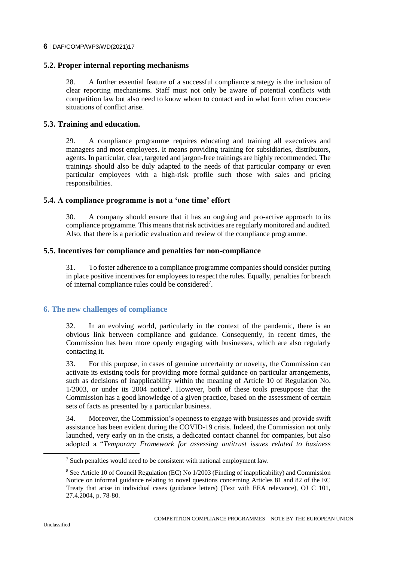#### **6** DAF/COMP/WP3/WD(2021)17

#### **5.2. Proper internal reporting mechanisms**

28. A further essential feature of a successful compliance strategy is the inclusion of clear reporting mechanisms. Staff must not only be aware of potential conflicts with competition law but also need to know whom to contact and in what form when concrete situations of conflict arise.

### **5.3. Training and education.**

29. A compliance programme requires educating and training all executives and managers and most employees. It means providing training for subsidiaries, distributors, agents. In particular, clear, targeted and jargon-free trainings are highly recommended. The trainings should also be duly adapted to the needs of that particular company or even particular employees with a high-risk profile such those with sales and pricing responsibilities.

#### **5.4. A compliance programme is not a 'one time' effort**

30. A company should ensure that it has an ongoing and pro-active approach to its compliance programme. This means that risk activities are regularly monitored and audited. Also, that there is a periodic evaluation and review of the compliance programme.

#### **5.5. Incentives for compliance and penalties for non-compliance**

31. To foster adherence to a compliance programme companies should consider putting in place positive incentives for employees to respect the rules. Equally, penalties for breach of internal compliance rules could be considered<sup>7</sup>.

# **6. The new challenges of compliance**

32. In an evolving world, particularly in the context of the pandemic, there is an obvious link between compliance and guidance. Consequently, in recent times, the Commission has been more openly engaging with businesses, which are also regularly contacting it.

33. For this purpose, in cases of genuine uncertainty or novelty, the Commission can activate its existing tools for providing more formal guidance on particular arrangements, such as decisions of inapplicability within the meaning of Article 10 of Regulation No. 1/2003, or under its 2004 notice<sup>8</sup>. However, both of these tools presuppose that the Commission has a good knowledge of a given practice, based on the assessment of certain sets of facts as presented by a particular business.

34. Moreover, the Commission's openness to engage with businesses and provide swift assistance has been evident during the COVID-19 crisis. Indeed, the Commission not only launched, very early on in the crisis, a dedicated contact channel for companies, but also adopted a "*Temporary Framework for assessing antitrust issues related to business* 

 $\overline{a}$ 

 $<sup>7</sup>$  Such penalties would need to be consistent with national employment law.</sup>

<sup>8</sup> See Article 10 of Council Regulation (EC) No 1/2003 (Finding of inapplicability) and Commission Notice on informal guidance relating to novel questions concerning Articles 81 and 82 of the EC Treaty that arise in individual cases (guidance letters) (Text with EEA relevance), OJ C 101, 27.4.2004, p. 78-80.